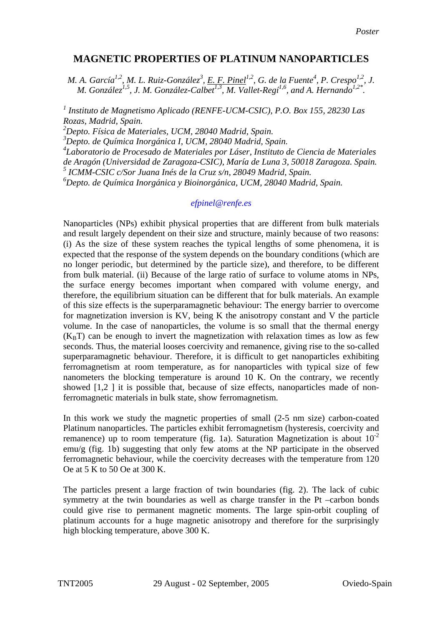## **MAGNETIC PROPERTIES OF PLATINUM NANOPARTICLES**

*M. A. García<sup>1,2</sup>, M. L. Ruiz-González<sup>3</sup>, <u>E. F. Pinel</u><sup>1,2</sup>, G. de la Fuente<sup>4</sup>, P. Crespo<sup>1,2</sup>, J. M. González<sup>1,5</sup>, J. M. González-Calbet<sup>1,3</sup>, M. Vallet-Regí<sup>1,6</sup>, and A. Hernando<sup>1,2\*</sup>.* 

*1 Instituto de Magnetismo Aplicado (RENFE-UCM-CSIC), P.O. Box 155, 28230 Las Rozas, Madrid, Spain.* 

*2 Depto. Física de Materiales, UCM, 28040 Madrid, Spain.* 

*3 Depto. de Química Inorgánica I, UCM, 28040 Madrid, Spain.* 

*4 Laboratorio de Procesado de Materiales por Láser, Instituto de Ciencia de Materiales* 

*de Aragón (Universidad de Zaragoza-CSIC), María de Luna 3, 50018 Zaragoza. Spain.* 

*5 ICMM-CSIC c/Sor Juana Inés de la Cruz s/n, 28049 Madrid, Spain.* 

*6 Depto. de Química Inorgánica y Bioinorgánica, UCM, 28040 Madrid, Spain.* 

## *efpinel@renfe.es*

Nanoparticles (NPs) exhibit physical properties that are different from bulk materials and result largely dependent on their size and structure, mainly because of two reasons: (i) As the size of these system reaches the typical lengths of some phenomena, it is expected that the response of the system depends on the boundary conditions (which are no longer periodic, but determined by the particle size), and therefore, to be different from bulk material. (ii) Because of the large ratio of surface to volume atoms in NPs, the surface energy becomes important when compared with volume energy, and therefore, the equilibrium situation can be different that for bulk materials. An example of this size effects is the superparamagnetic behaviour: The energy barrier to overcome for magnetization inversion is KV, being K the anisotropy constant and V the particle volume. In the case of nanoparticles, the volume is so small that the thermal energy  $(K<sub>B</sub>T)$  can be enough to invert the magnetization with relaxation times as low as few seconds. Thus, the material looses coercivity and remanence, giving rise to the so-called superparamagnetic behaviour. Therefore, it is difficult to get nanoparticles exhibiting ferromagnetism at room temperature, as for nanoparticles with typical size of few nanometers the blocking temperature is around 10 K. On the contrary, we recently showed [[1,2](#page-1-0) ] it is possible that, because of size effects, nanoparticles made of nonferromagnetic materials in bulk state, show ferromagnetism.

In this work we study the magnetic properties of small (2-5 nm size) carbon-coated Platinum nanoparticles. The particles exhibit ferromagnetism (hysteresis, coercivity and remanence) up to room temperature (fig. 1a). Saturation Magnetization is about  $10^{-2}$ emu/g (fig. 1b) suggesting that only few atoms at the NP participate in the observed ferromagnetic behaviour, while the coercivity decreases with the temperature from 120 Oe at 5 K to 50 Oe at 300 K.

The particles present a large fraction of twin boundaries (fig. 2). The lack of cubic symmetry at the twin boundaries as well as charge transfer in the Pt –carbon bonds could give rise to permanent magnetic moments. The large spin-orbit coupling of platinum accounts for a huge magnetic anisotropy and therefore for the surprisingly high blocking temperature, above 300 K.